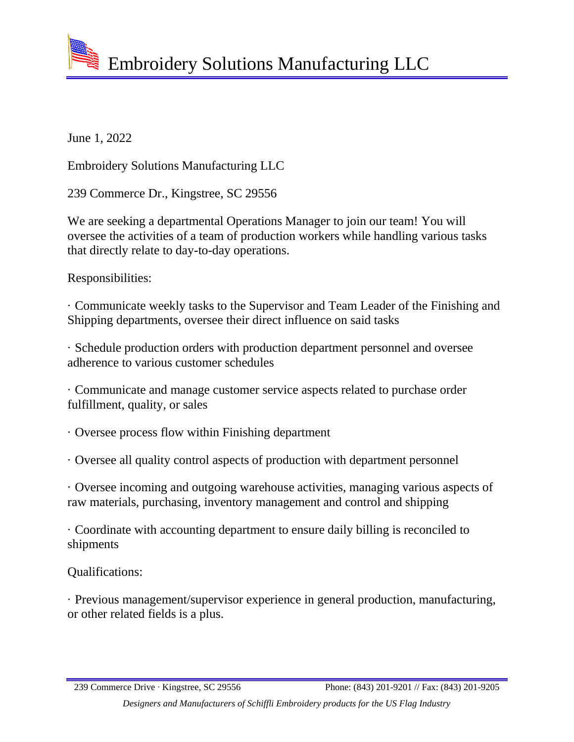Embroidery Solutions Manufacturing LLC

June 1, 2022

Embroidery Solutions Manufacturing LLC

239 Commerce Dr., Kingstree, SC 29556

We are seeking a departmental Operations Manager to join our team! You will oversee the activities of a team of production workers while handling various tasks that directly relate to day-to-day operations.

Responsibilities:

· Communicate weekly tasks to the Supervisor and Team Leader of the Finishing and Shipping departments, oversee their direct influence on said tasks

· Schedule production orders with production department personnel and oversee adherence to various customer schedules

· Communicate and manage customer service aspects related to purchase order fulfillment, quality, or sales

· Oversee process flow within Finishing department

· Oversee all quality control aspects of production with department personnel

· Oversee incoming and outgoing warehouse activities, managing various aspects of raw materials, purchasing, inventory management and control and shipping

· Coordinate with accounting department to ensure daily billing is reconciled to shipments

Qualifications:

· Previous management/supervisor experience in general production, manufacturing, or other related fields is a plus.